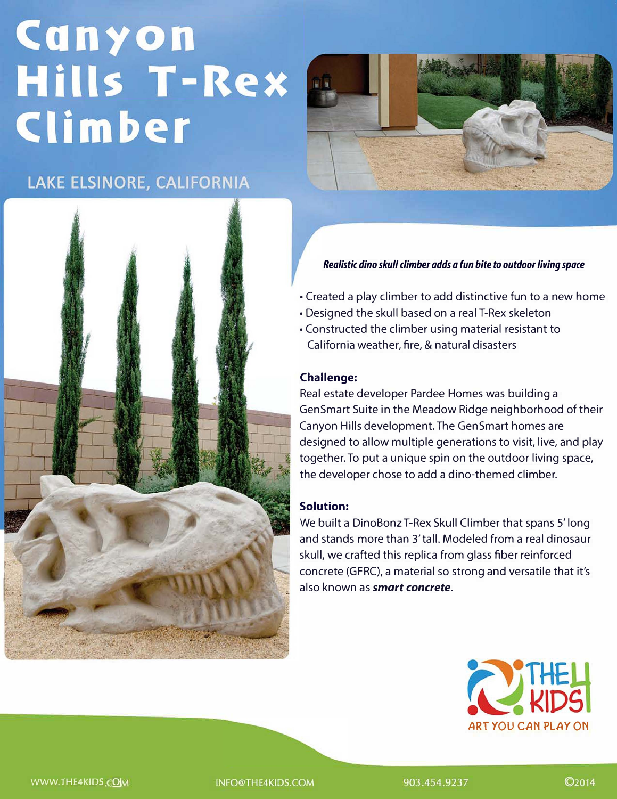# Canyon **Hills T-Rex** Climber

# LAKE ELSINORE, CALIFORNIA





### *Realistic dino skull climber adds a fun bite to outdoor living space*

- Created a play climber to add distinctive fun to a new home
- Designed the skull based on a real T-Rex skeleton
- Constructed the climber using material resistant to
- California weather, fire, & natural disasters

### **Challenge:**

Real estate developer Pardee Homes was building a Gen Smart Suite in the Meadow Ridge neighborhood of their Canyon Hills development. The GenSmart homes are designed to allow multiple generations to visit, live, and play together. To put a unique spin on the outdoor living space, the developer chose to add a dino-themed climber.

## **Solution:**

We built a DinoBonz T-Rex Skull Climber that spans 5' long and stands more than 3'tall. Modeled from a real dinosaur skull, we crafted this replica from glass fiber reinforced concrete (GFRC), a material so strong and versatile that it's also known as *smart concrete.*



WWW.THE4KIDS.COM

INFO@THE4KIDS.COM

903.454.9237